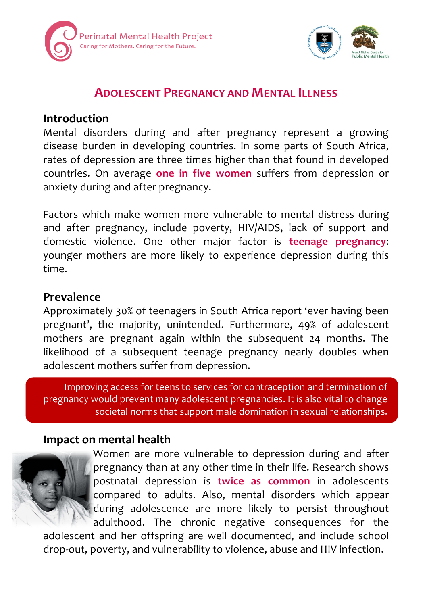



# **ADOLESCENT PREGNANCY AND MENTAL ILLNESS**

### **Introduction**

Mental disorders during and after pregnancy represent a growing disease burden in developing countries. In some parts of South Africa, rates of depression are three times higher than that found in developed countries. On average **one in five women**  suffers from depression or anxiety during and after pregnancy.

Factors which make women more vulnerable to mental distress during and after pregnancy, include poverty, HIV/AIDS, lack of support and domestic violence. One other major factor is **teenage pregnancy**: younger mothers are more likely to experience depression during this time.

## **Prevalence**

Approximately 30% of teenagers in South Africa report 'ever having been pregnant', the majority, unintended. Furthermore, 49% of adolescent mothers are pregnant again within the subsequent 24 months. The likelihood of a subsequent teenage pregnancy nearly doubles when adolescent mothers suffer from depression.

Improving access for teens to services for contraception and termination of pregnancy would prevent many adolescent pregnancies. It is also vital to change societal norms that support male domination in sexual relationships.

## **Impact on mental health**



Women are more vulnerable to depression during and after pregnancy than at any other time in their life. Research shows postnatal depression is **twice as common** in adolescents compared to adults. Also, mental disorders which appear during adolescence are more likely to persist throughout adulthood. The chronic negative consequences for the

adolescent and her offspring are well documented, and include school drop-out, poverty, and vulnerability to violence, abuse and HIV infection.